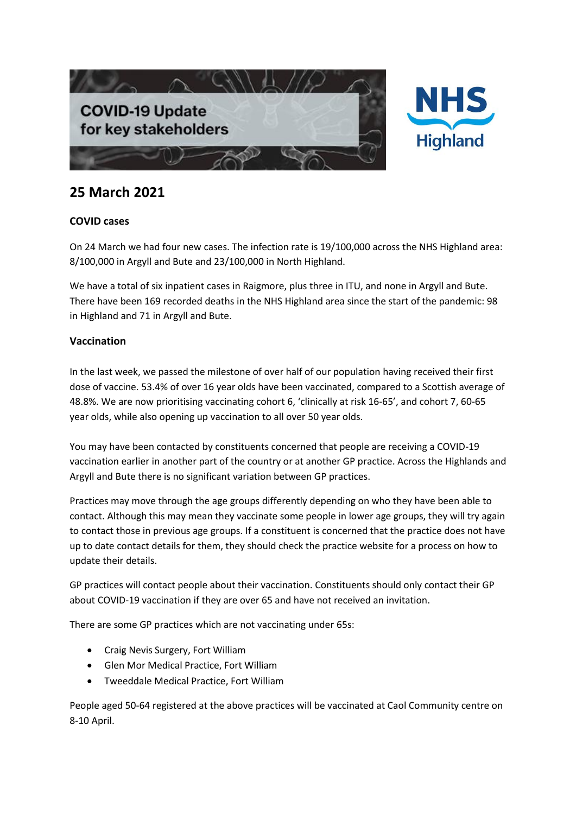



## **25 March 2021**

## **COVID cases**

On 24 March we had four new cases. The infection rate is 19/100,000 across the NHS Highland area: 8/100,000 in Argyll and Bute and 23/100,000 in North Highland.

We have a total of six inpatient cases in Raigmore, plus three in ITU, and none in Argyll and Bute. There have been 169 recorded deaths in the NHS Highland area since the start of the pandemic: 98 in Highland and 71 in Argyll and Bute.

## **Vaccination**

In the last week, we passed the milestone of over half of our population having received their first dose of vaccine. 53.4% of over 16 year olds have been vaccinated, compared to a Scottish average of 48.8%. We are now prioritising vaccinating cohort 6, 'clinically at risk 16-65', and cohort 7, 60-65 year olds, while also opening up vaccination to all over 50 year olds.

You may have been contacted by constituents concerned that people are receiving a COVID-19 vaccination earlier in another part of the country or at another GP practice. Across the Highlands and Argyll and Bute there is no significant variation between GP practices.

Practices may move through the age groups differently depending on who they have been able to contact. Although this may mean they vaccinate some people in lower age groups, they will try again to contact those in previous age groups. If a constituent is concerned that the practice does not have up to date contact details for them, they should check the practice website for a process on how to update their details.

GP practices will contact people about their vaccination. Constituents should only contact their GP about COVID-19 vaccination if they are over 65 and have not received an invitation.

There are some GP practices which are not vaccinating under 65s:

- Craig Nevis Surgery, Fort William
- Glen Mor Medical Practice, Fort William
- Tweeddale Medical Practice, Fort William

People aged 50-64 registered at the above practices will be vaccinated at Caol Community centre on 8-10 April.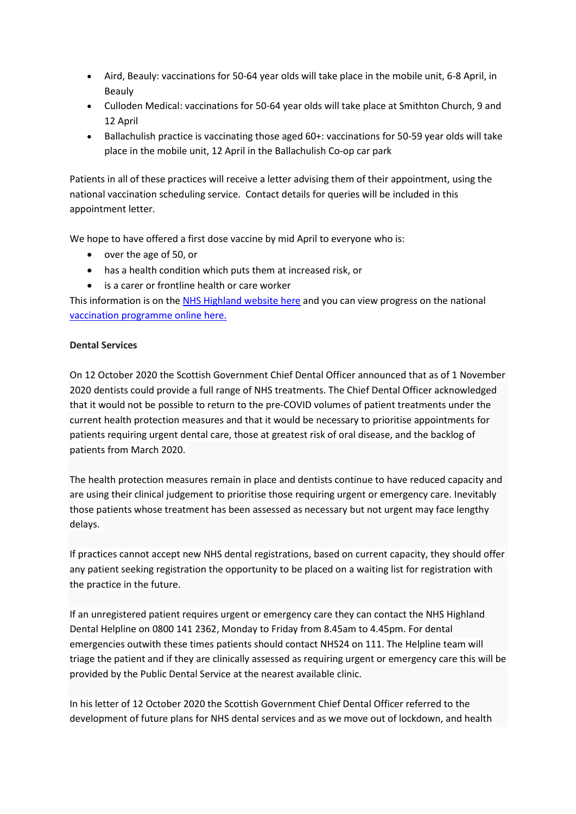- Aird, Beauly: vaccinations for 50-64 year olds will take place in the mobile unit, 6-8 April, in Beauly
- Culloden Medical: vaccinations for 50-64 year olds will take place at Smithton Church, 9 and 12 April
- Ballachulish practice is vaccinating those aged 60+: vaccinations for 50-59 year olds will take place in the mobile unit, 12 April in the Ballachulish Co-op car park

Patients in all of these practices will receive a letter advising them of their appointment, using the national vaccination scheduling service. Contact details for queries will be included in this appointment letter.

We hope to have offered a first dose vaccine by mid April to everyone who is:

- over the age of 50, or
- has a health condition which puts them at increased risk, or
- is a carer or frontline health or care worker

This information is on the [NHS Highland website here](https://www.nhshighland.scot.nhs.uk/COVID19/Pages/Vaccination.aspx) and you can view progress on the national [vaccination programme online here.](https://public.tableau.com/profile/phs.covid.19#!/vizhome/COVID-19DailyDashboard_15960160643010/Overview)

## **Dental Services**

On 12 October 2020 the Scottish Government Chief Dental Officer announced that as of 1 November 2020 dentists could provide a full range of NHS treatments. The Chief Dental Officer acknowledged that it would not be possible to return to the pre-COVID volumes of patient treatments under the current health protection measures and that it would be necessary to prioritise appointments for patients requiring urgent dental care, those at greatest risk of oral disease, and the backlog of patients from March 2020.

The health protection measures remain in place and dentists continue to have reduced capacity and are using their clinical judgement to prioritise those requiring urgent or emergency care. Inevitably those patients whose treatment has been assessed as necessary but not urgent may face lengthy delays.

If practices cannot accept new NHS dental registrations, based on current capacity, they should offer any patient seeking registration the opportunity to be placed on a waiting list for registration with the practice in the future.

If an unregistered patient requires urgent or emergency care they can contact the NHS Highland Dental Helpline on 0800 141 2362, Monday to Friday from 8.45am to 4.45pm. For dental emergencies outwith these times patients should contact NHS24 on 111. The Helpline team will triage the patient and if they are clinically assessed as requiring urgent or emergency care this will be provided by the Public Dental Service at the nearest available clinic.

In his letter of 12 October 2020 the Scottish Government Chief Dental Officer referred to the development of future plans for NHS dental services and as we move out of lockdown, and health